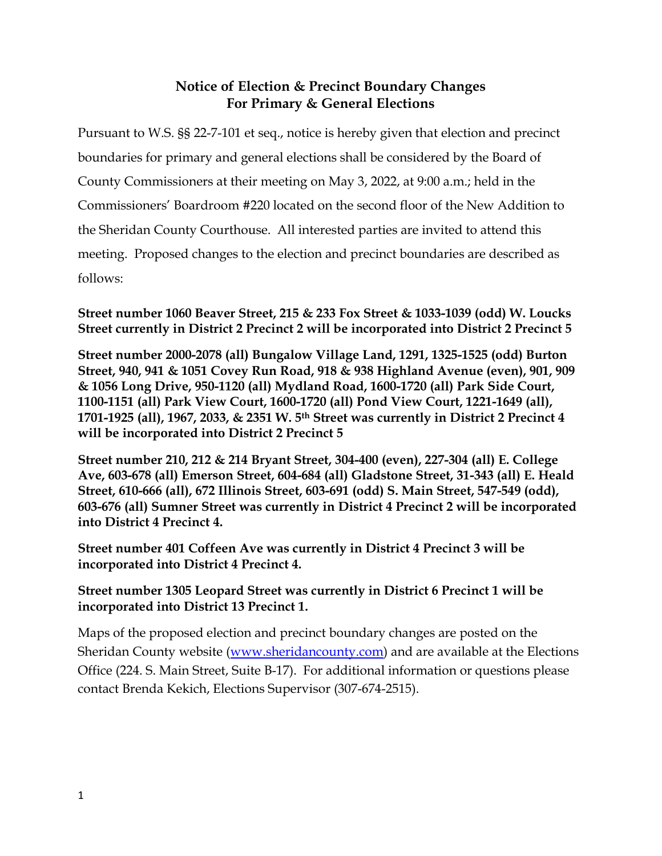## **Notice of Election & Precinct Boundary Changes For Primary & General Elections**

Pursuant to W.S. §§ 22-7-101 et seq., notice is hereby given that election and precinct boundaries for primary and general elections shall be considered by the Board of County Commissioners at their meeting on May 3, 2022, at 9:00 a.m.; held in the Commissioners' Boardroom #220 located on the second floor of the New Addition to the Sheridan County Courthouse. All interested parties are invited to attend this meeting. Proposed changes to the election and precinct boundaries are described as follows:

**Street number 1060 Beaver Street, 215 & 233 Fox Street & 1033-1039 (odd) W. Loucks Street currently in District 2 Precinct 2 will be incorporated into District 2 Precinct 5**

**Street number 2000-2078 (all) Bungalow Village Land, 1291, 1325-1525 (odd) Burton Street, 940, 941 & 1051 Covey Run Road, 918 & 938 Highland Avenue (even), 901, 909 & 1056 Long Drive, 950-1120 (all) Mydland Road, 1600-1720 (all) Park Side Court, 1100-1151 (all) Park View Court, 1600-1720 (all) Pond View Court, 1221-1649 (all), 1701-1925 (all), 1967, 2033, & 2351 W. 5th Street was currently in District 2 Precinct 4 will be incorporated into District 2 Precinct 5**

**Street number 210, 212 & 214 Bryant Street, 304-400 (even), 227-304 (all) E. College Ave, 603-678 (all) Emerson Street, 604-684 (all) Gladstone Street, 31-343 (all) E. Heald Street, 610-666 (all), 672 Illinois Street, 603-691 (odd) S. Main Street, 547-549 (odd), 603-676 (all) Sumner Street was currently in District 4 Precinct 2 will be incorporated into District 4 Precinct 4.**

**Street number 401 Coffeen Ave was currently in District 4 Precinct 3 will be incorporated into District 4 Precinct 4.**

**Street number 1305 Leopard Street was currently in District 6 Precinct 1 will be incorporated into District 13 Precinct 1.** 

Maps of the proposed election and precinct boundary changes are posted on the Sheridan County website [\(www.sheridancounty.com\)](http://www.sheridancounty.com/) and are available at the Elections Office (224. S. Main Street, Suite B-17). For additional information or questions please contact Brenda Kekich, Elections Supervisor (307-674-2515).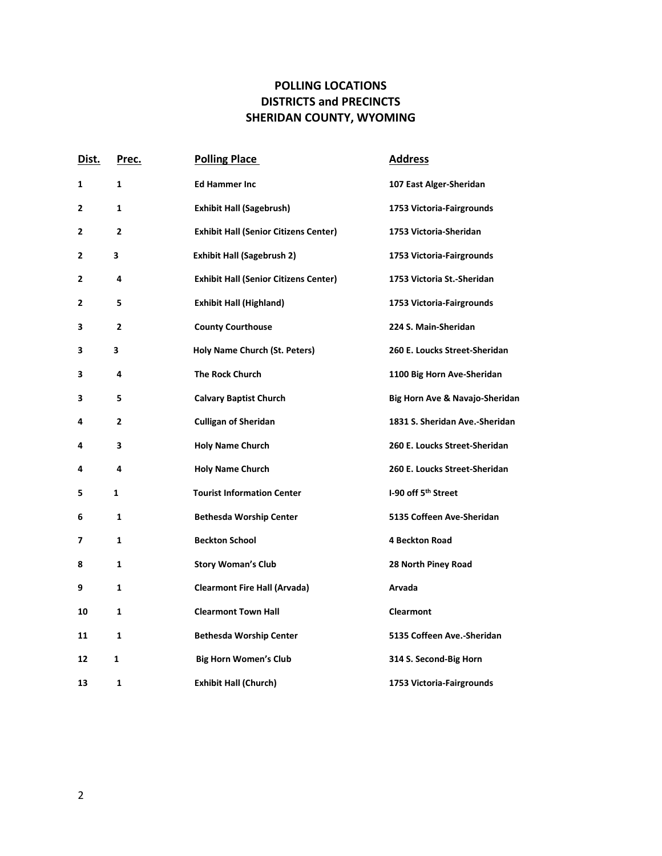## **POLLING LOCATIONS DISTRICTS and PRECINCTS SHERIDAN COUNTY, WYOMING**

| Dist.        | <u>Prec.</u> | <b>Polling Place</b>                         | <b>Address</b>                  |
|--------------|--------------|----------------------------------------------|---------------------------------|
| 1            | $\mathbf{1}$ | <b>Ed Hammer Inc</b>                         | 107 East Alger-Sheridan         |
| $\mathbf{2}$ | $\mathbf{1}$ | <b>Exhibit Hall (Sagebrush)</b>              | 1753 Victoria-Fairgrounds       |
| 2            | $\mathbf{2}$ | <b>Exhibit Hall (Senior Citizens Center)</b> | 1753 Victoria-Sheridan          |
| 2            | 3            | <b>Exhibit Hall (Sagebrush 2)</b>            | 1753 Victoria-Fairgrounds       |
| 2            | 4            | <b>Exhibit Hall (Senior Citizens Center)</b> | 1753 Victoria St.-Sheridan      |
| 2            | 5            | <b>Exhibit Hall (Highland)</b>               | 1753 Victoria-Fairgrounds       |
| 3            | $\mathbf{2}$ | <b>County Courthouse</b>                     | 224 S. Main-Sheridan            |
| 3            | 3            | Holy Name Church (St. Peters)                | 260 E. Loucks Street-Sheridan   |
| 3            | 4            | <b>The Rock Church</b>                       | 1100 Big Horn Ave-Sheridan      |
| 3            | 5.           | <b>Calvary Baptist Church</b>                | Big Horn Ave & Navajo-Sheridan  |
| 4            | $\mathbf{2}$ | <b>Culligan of Sheridan</b>                  | 1831 S. Sheridan Ave.-Sheridan  |
| 4            | 3            | <b>Holy Name Church</b>                      | 260 E. Loucks Street-Sheridan   |
| 4            | 4            | <b>Holy Name Church</b>                      | 260 E. Loucks Street-Sheridan   |
| 5            | 1            | <b>Tourist Information Center</b>            | I-90 off 5 <sup>th</sup> Street |
| 6            | 1            | <b>Bethesda Worship Center</b>               | 5135 Coffeen Ave-Sheridan       |
| 7            | $\mathbf{1}$ | <b>Beckton School</b>                        | <b>4 Beckton Road</b>           |
| 8            | $\mathbf{1}$ | <b>Story Woman's Club</b>                    | 28 North Piney Road             |
| 9            | 1            | <b>Clearmont Fire Hall (Arvada)</b>          | Arvada                          |
| 10           | $\mathbf{1}$ | <b>Clearmont Town Hall</b>                   | <b>Clearmont</b>                |
| 11           | $\mathbf{1}$ | <b>Bethesda Worship Center</b>               | 5135 Coffeen Ave.-Sheridan      |
| 12           | $\mathbf{1}$ | <b>Big Horn Women's Club</b>                 | 314 S. Second-Big Horn          |
| 13           | $\mathbf{1}$ | <b>Exhibit Hall (Church)</b>                 | 1753 Victoria-Fairgrounds       |